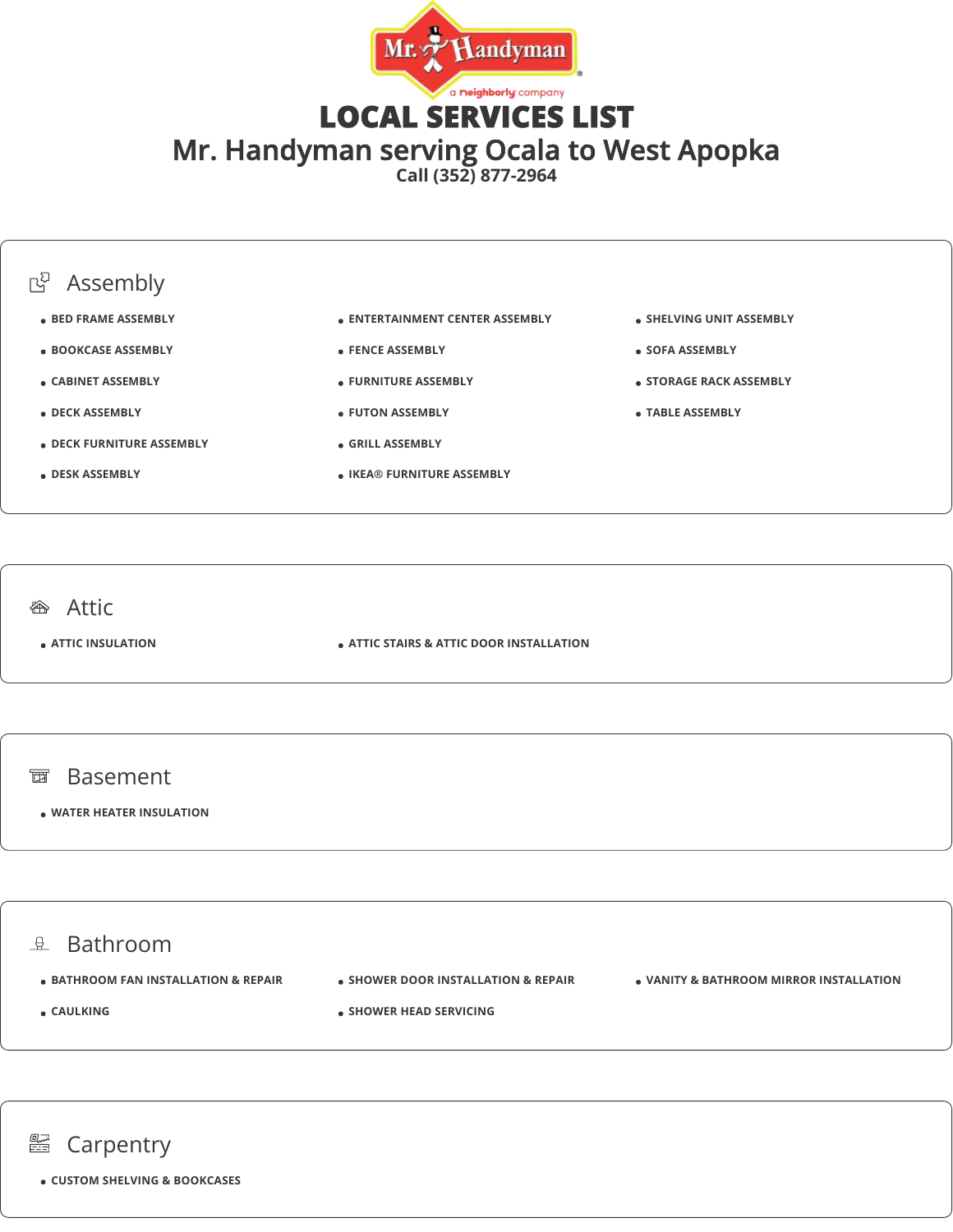

LOCAL SERVICES LIST Mr. Handyman serving Ocala to West Apopka

**Call (352) 877-2964**

### **B** Assembly **BED FRAME ASSEMBLY BOOKCASE ASSEMBLY CABINET ASSEMBLY DECK ASSEMBLY DECK FURNITURE ASSEMBLY DESK ASSEMBLY ENTERTAINMENT CENTER ASSEMBLY FENCE ASSEMBLY FURNITURE ASSEMBLY FUTON ASSEMBLY GRILL ASSEMBLY IKEA® FURNITURE ASSEMBLY SHELVING UNIT ASSEMBLY SOFA ASSEMBLY STORAGE RACK ASSEMBLY TABLE ASSEMBLY <sup>企</sup>**Attic **ATTIC INSULATION ATTIC STAIRS & ATTIC DOOR INSTALLATION**



#### **WATER HEATER INSULATION**

### $\mathbb{R}$  Bathroom

- **BATHROOM FAN INSTALLATION & REPAIR**
- **CAULKING**
- **SHOWER DOOR INSTALLATION & REPAIR**
	- **VANITY & BATHROOM MIRROR INSTALLATION**
- **SHOWER HEAD SERVICING**



**CUSTOM SHELVING & BOOKCASES**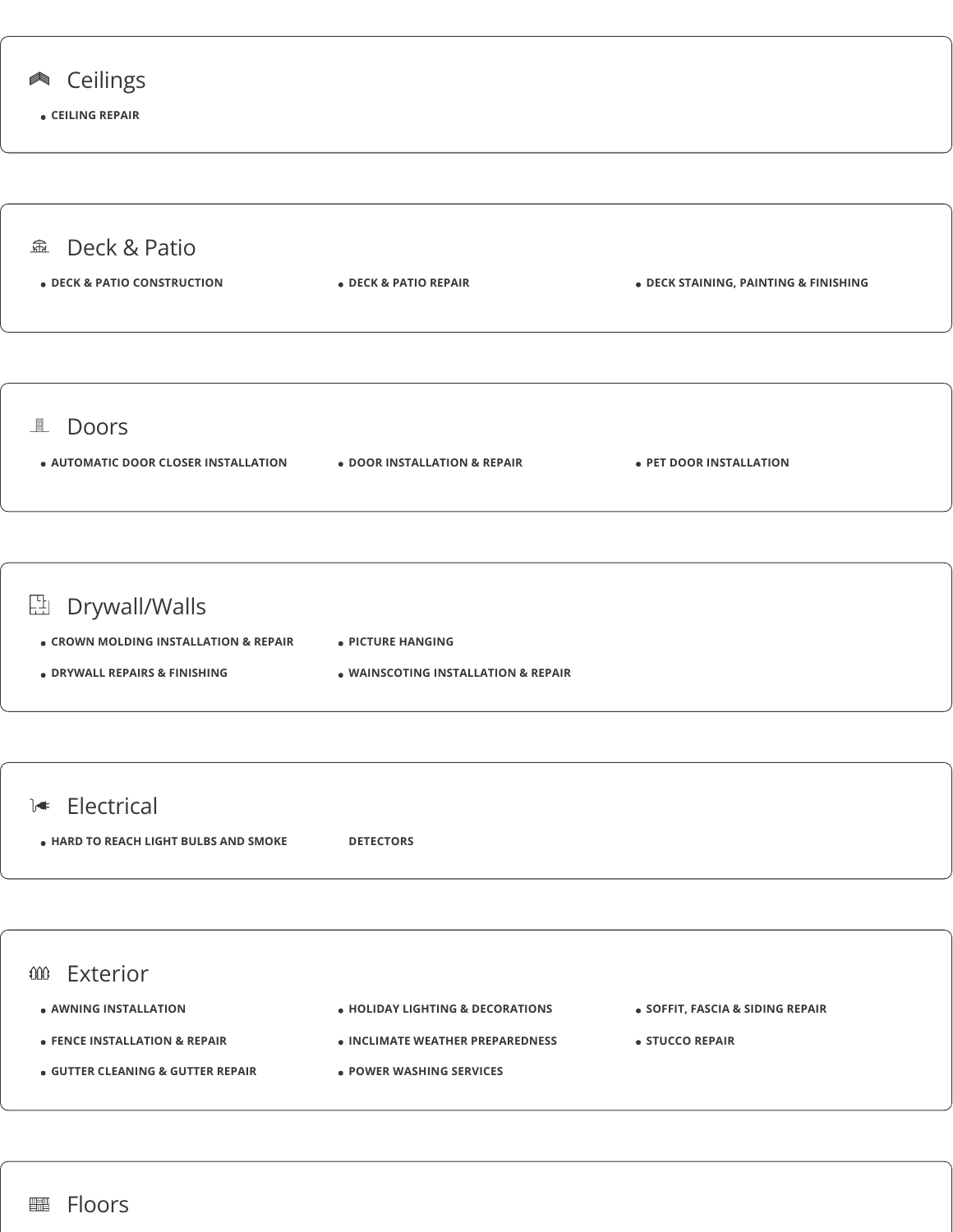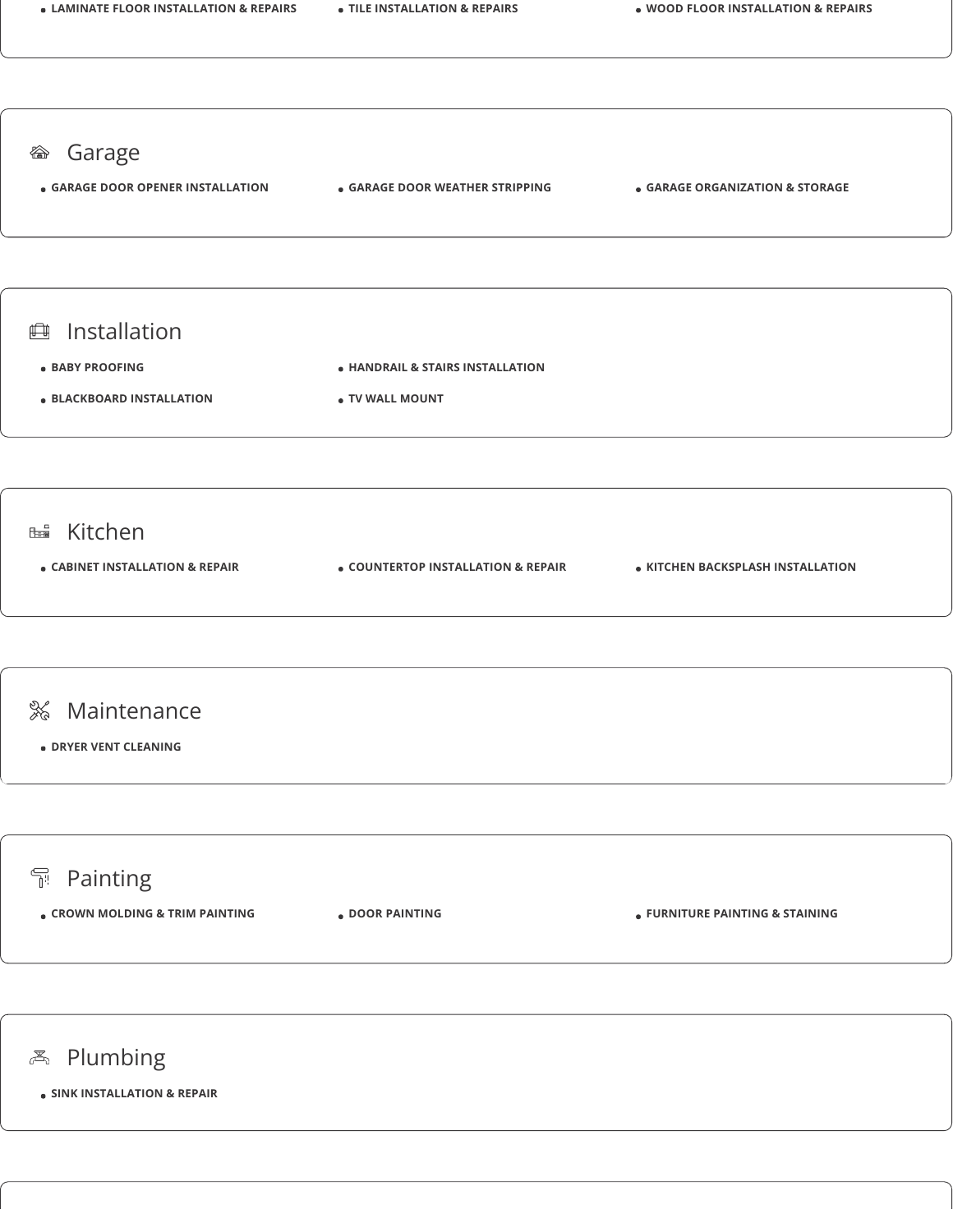